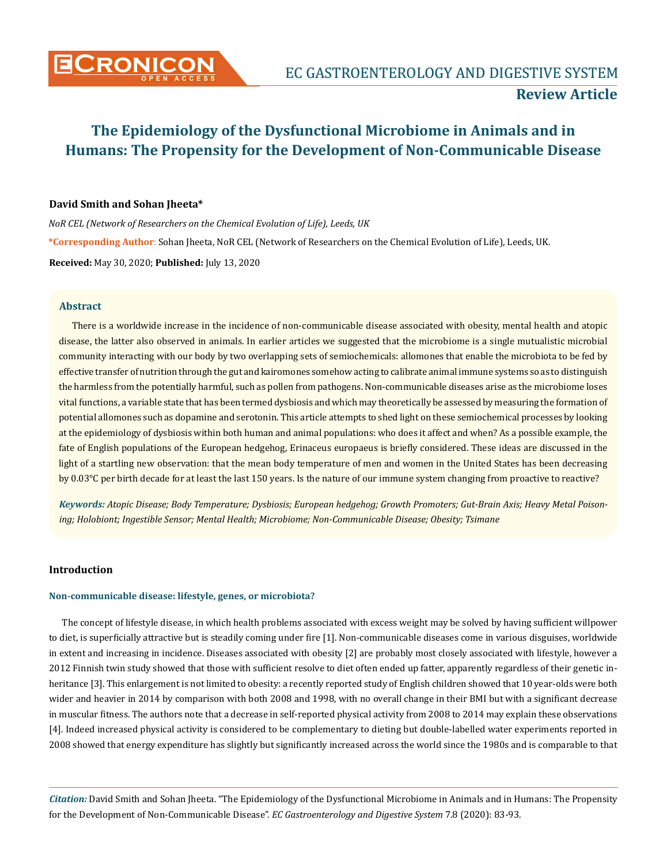

# **Review Article**

# **The Epidemiology of the Dysfunctional Microbiome in Animals and in Humans: The Propensity for the Development of Non-Communicable Disease**

### **David Smith and Sohan Jheeta\***

*NoR CEL (Network of Researchers on the Chemical Evolution of Life), Leeds, UK* **\*Corresponding Author**: Sohan Jheeta, NoR CEL (Network of Researchers on the Chemical Evolution of Life), Leeds, UK. **Received:** May 30, 2020; **Published:** July 13, 2020

### **Abstract**

There is a worldwide increase in the incidence of non-communicable disease associated with obesity, mental health and atopic disease, the latter also observed in animals. In earlier articles we suggested that the microbiome is a single mutualistic microbial community interacting with our body by two overlapping sets of semiochemicals: allomones that enable the microbiota to be fed by effective transfer of nutrition through the gut and kairomones somehow acting to calibrate animal immune systems so as to distinguish the harmless from the potentially harmful, such as pollen from pathogens. Non-communicable diseases arise as the microbiome loses vital functions, a variable state that has been termed dysbiosis and which may theoretically be assessed by measuring the formation of potential allomones such as dopamine and serotonin. This article attempts to shed light on these semiochemical processes by looking at the epidemiology of dysbiosis within both human and animal populations: who does it affect and when? As a possible example, the fate of English populations of the European hedgehog, Erinaceus europaeus is briefly considered. These ideas are discussed in the light of a startling new observation: that the mean body temperature of men and women in the United States has been decreasing by 0.03°C per birth decade for at least the last 150 years. Is the nature of our immune system changing from proactive to reactive?

*Keywords: Atopic Disease; Body Temperature; Dysbiosis; European hedgehog; Growth Promoters; Gut-Brain Axis; Heavy Metal Poisoning; Holobiont; Ingestible Sensor; Mental Health; Microbiome; Non-Communicable Disease; Obesity; Tsimane*

### **Introduction**

#### **Non-communicable disease: lifestyle, genes, or microbiota?**

The concept of lifestyle disease, in which health problems associated with excess weight may be solved by having sufficient willpower to diet, is superficially attractive but is steadily coming under fire [1]. Non-communicable diseases come in various disguises, worldwide in extent and increasing in incidence. Diseases associated with obesity [2] are probably most closely associated with lifestyle, however a 2012 Finnish twin study showed that those with sufficient resolve to diet often ended up fatter, apparently regardless of their genetic inheritance [3]. This enlargement is not limited to obesity: a recently reported study of English children showed that 10 year-olds were both wider and heavier in 2014 by comparison with both 2008 and 1998, with no overall change in their BMI but with a significant decrease in muscular fitness. The authors note that a decrease in self-reported physical activity from 2008 to 2014 may explain these observations [4]. Indeed increased physical activity is considered to be complementary to dieting but double-labelled water experiments reported in 2008 showed that energy expenditure has slightly but significantly increased across the world since the 1980s and is comparable to that

*Citation:* David Smith and Sohan Jheeta. "The Epidemiology of the Dysfunctional Microbiome in Animals and in Humans: The Propensity for the Development of Non-Communicable Disease". *EC Gastroenterology and Digestive System* 7.8 (2020): 83-93.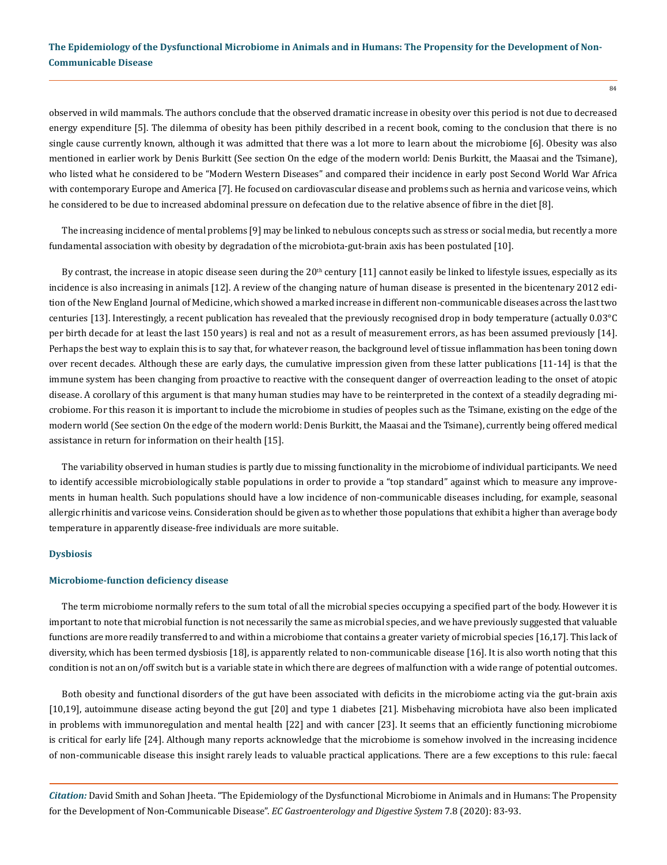observed in wild mammals. The authors conclude that the observed dramatic increase in obesity over this period is not due to decreased energy expenditure [5]. The dilemma of obesity has been pithily described in a recent book, coming to the conclusion that there is no single cause currently known, although it was admitted that there was a lot more to learn about the microbiome [6]. Obesity was also mentioned in earlier work by Denis Burkitt (See section On the edge of the modern world: Denis Burkitt, the Maasai and the Tsimane), who listed what he considered to be "Modern Western Diseases" and compared their incidence in early post Second World War Africa with contemporary Europe and America [7]. He focused on cardiovascular disease and problems such as hernia and varicose veins, which he considered to be due to increased abdominal pressure on defecation due to the relative absence of fibre in the diet [8].

The increasing incidence of mental problems [9] may be linked to nebulous concepts such as stress or social media, but recently a more fundamental association with obesity by degradation of the microbiota-gut-brain axis has been postulated [10].

By contrast, the increase in atopic disease seen during the  $20<sup>th</sup>$  century [11] cannot easily be linked to lifestyle issues, especially as its incidence is also increasing in animals [12]. A review of the changing nature of human disease is presented in the bicentenary 2012 edition of the New England Journal of Medicine, which showed a marked increase in different non-communicable diseases across the last two centuries [13]. Interestingly, a recent publication has revealed that the previously recognised drop in body temperature (actually 0.03°C per birth decade for at least the last 150 years) is real and not as a result of measurement errors, as has been assumed previously [14]. Perhaps the best way to explain this is to say that, for whatever reason, the background level of tissue inflammation has been toning down over recent decades. Although these are early days, the cumulative impression given from these latter publications [11-14] is that the immune system has been changing from proactive to reactive with the consequent danger of overreaction leading to the onset of atopic disease. A corollary of this argument is that many human studies may have to be reinterpreted in the context of a steadily degrading microbiome. For this reason it is important to include the microbiome in studies of peoples such as the Tsimane, existing on the edge of the modern world (See section On the edge of the modern world: Denis Burkitt, the Maasai and the Tsimane), currently being offered medical assistance in return for information on their health [15].

The variability observed in human studies is partly due to missing functionality in the microbiome of individual participants. We need to identify accessible microbiologically stable populations in order to provide a "top standard" against which to measure any improvements in human health. Such populations should have a low incidence of non-communicable diseases including, for example, seasonal allergic rhinitis and varicose veins. Consideration should be given as to whether those populations that exhibit a higher than average body temperature in apparently disease-free individuals are more suitable.

#### **Dysbiosis**

#### **Microbiome-function deficiency disease**

The term microbiome normally refers to the sum total of all the microbial species occupying a specified part of the body. However it is important to note that microbial function is not necessarily the same as microbial species, and we have previously suggested that valuable functions are more readily transferred to and within a microbiome that contains a greater variety of microbial species [16,17]. This lack of diversity, which has been termed dysbiosis [18], is apparently related to non-communicable disease [16]. It is also worth noting that this condition is not an on/off switch but is a variable state in which there are degrees of malfunction with a wide range of potential outcomes.

Both obesity and functional disorders of the gut have been associated with deficits in the microbiome acting via the gut-brain axis [10,19], autoimmune disease acting beyond the gut [20] and type 1 diabetes [21]. Misbehaving microbiota have also been implicated in problems with immunoregulation and mental health [22] and with cancer [23]. It seems that an efficiently functioning microbiome is critical for early life [24]. Although many reports acknowledge that the microbiome is somehow involved in the increasing incidence of non-communicable disease this insight rarely leads to valuable practical applications. There are a few exceptions to this rule: faecal

*Citation:* David Smith and Sohan Jheeta. "The Epidemiology of the Dysfunctional Microbiome in Animals and in Humans: The Propensity for the Development of Non-Communicable Disease". *EC Gastroenterology and Digestive System* 7.8 (2020): 83-93.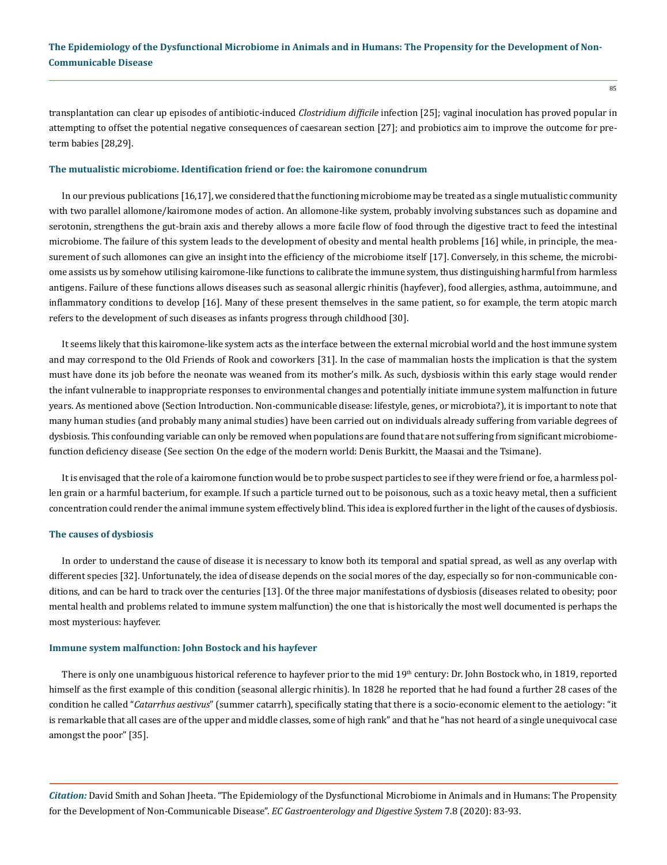transplantation can clear up episodes of antibiotic-induced *Clostridium difficile* infection [25]; vaginal inoculation has proved popular in attempting to offset the potential negative consequences of caesarean section [27]; and probiotics aim to improve the outcome for preterm babies [28,29].

#### **The mutualistic microbiome. Identification friend or foe: the kairomone conundrum**

In our previous publications [16,17], we considered that the functioning microbiome may be treated as a single mutualistic community with two parallel allomone/kairomone modes of action. An allomone-like system, probably involving substances such as dopamine and serotonin, strengthens the gut-brain axis and thereby allows a more facile flow of food through the digestive tract to feed the intestinal microbiome. The failure of this system leads to the development of obesity and mental health problems [16] while, in principle, the measurement of such allomones can give an insight into the efficiency of the microbiome itself [17]. Conversely, in this scheme, the microbiome assists us by somehow utilising kairomone-like functions to calibrate the immune system, thus distinguishing harmful from harmless antigens. Failure of these functions allows diseases such as seasonal allergic rhinitis (hayfever), food allergies, asthma, autoimmune, and inflammatory conditions to develop [16]. Many of these present themselves in the same patient, so for example, the term atopic march refers to the development of such diseases as infants progress through childhood [30].

It seems likely that this kairomone-like system acts as the interface between the external microbial world and the host immune system and may correspond to the Old Friends of Rook and coworkers [31]. In the case of mammalian hosts the implication is that the system must have done its job before the neonate was weaned from its mother's milk. As such, dysbiosis within this early stage would render the infant vulnerable to inappropriate responses to environmental changes and potentially initiate immune system malfunction in future years. As mentioned above (Section Introduction. Non-communicable disease: lifestyle, genes, or microbiota?), it is important to note that many human studies (and probably many animal studies) have been carried out on individuals already suffering from variable degrees of dysbiosis. This confounding variable can only be removed when populations are found that are not suffering from significant microbiomefunction deficiency disease (See section On the edge of the modern world: Denis Burkitt, the Maasai and the Tsimane).

It is envisaged that the role of a kairomone function would be to probe suspect particles to see if they were friend or foe, a harmless pollen grain or a harmful bacterium, for example. If such a particle turned out to be poisonous, such as a toxic heavy metal, then a sufficient concentration could render the animal immune system effectively blind. This idea is explored further in the light of the causes of dysbiosis.

#### **The causes of dysbiosis**

In order to understand the cause of disease it is necessary to know both its temporal and spatial spread, as well as any overlap with different species [32]. Unfortunately, the idea of disease depends on the social mores of the day, especially so for non-communicable conditions, and can be hard to track over the centuries [13]. Of the three major manifestations of dysbiosis (diseases related to obesity; poor mental health and problems related to immune system malfunction) the one that is historically the most well documented is perhaps the most mysterious: hayfever.

#### **Immune system malfunction: John Bostock and his hayfever**

There is only one unambiguous historical reference to hayfever prior to the mid 19<sup>th</sup> century: Dr. John Bostock who, in 1819, reported himself as the first example of this condition (seasonal allergic rhinitis). In 1828 he reported that he had found a further 28 cases of the condition he called "*Catarrhus aestivus*" (summer catarrh), specifically stating that there is a socio-economic element to the aetiology: "it is remarkable that all cases are of the upper and middle classes, some of high rank" and that he "has not heard of a single unequivocal case amongst the poor" [35].

*Citation:* David Smith and Sohan Jheeta. "The Epidemiology of the Dysfunctional Microbiome in Animals and in Humans: The Propensity for the Development of Non-Communicable Disease". *EC Gastroenterology and Digestive System* 7.8 (2020): 83-93.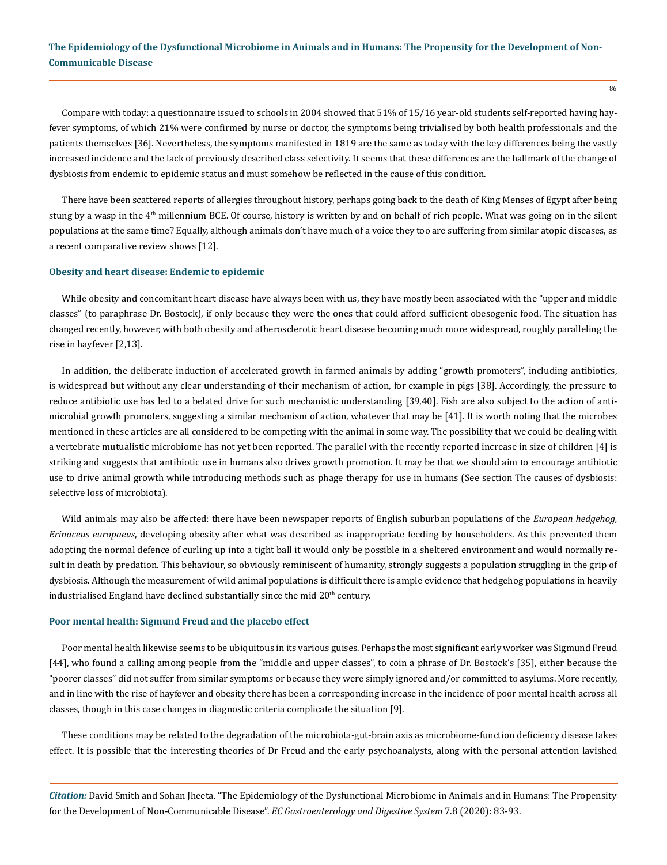Compare with today: a questionnaire issued to schools in 2004 showed that 51% of 15/16 year-old students self-reported having hayfever symptoms, of which 21% were confirmed by nurse or doctor, the symptoms being trivialised by both health professionals and the patients themselves [36]. Nevertheless, the symptoms manifested in 1819 are the same as today with the key differences being the vastly increased incidence and the lack of previously described class selectivity. It seems that these differences are the hallmark of the change of dysbiosis from endemic to epidemic status and must somehow be reflected in the cause of this condition.

There have been scattered reports of allergies throughout history, perhaps going back to the death of King Menses of Egypt after being stung by a wasp in the 4<sup>th</sup> millennium BCE. Of course, history is written by and on behalf of rich people. What was going on in the silent populations at the same time? Equally, although animals don't have much of a voice they too are suffering from similar atopic diseases, as a recent comparative review shows [12].

### **Obesity and heart disease: Endemic to epidemic**

While obesity and concomitant heart disease have always been with us, they have mostly been associated with the "upper and middle classes" (to paraphrase Dr. Bostock), if only because they were the ones that could afford sufficient obesogenic food. The situation has changed recently, however, with both obesity and atherosclerotic heart disease becoming much more widespread, roughly paralleling the rise in hayfever [2,13].

In addition, the deliberate induction of accelerated growth in farmed animals by adding "growth promoters", including antibiotics, is widespread but without any clear understanding of their mechanism of action, for example in pigs [38]. Accordingly, the pressure to reduce antibiotic use has led to a belated drive for such mechanistic understanding [39,40]. Fish are also subject to the action of antimicrobial growth promoters, suggesting a similar mechanism of action, whatever that may be [41]. It is worth noting that the microbes mentioned in these articles are all considered to be competing with the animal in some way. The possibility that we could be dealing with a vertebrate mutualistic microbiome has not yet been reported. The parallel with the recently reported increase in size of children [4] is striking and suggests that antibiotic use in humans also drives growth promotion. It may be that we should aim to encourage antibiotic use to drive animal growth while introducing methods such as phage therapy for use in humans (See section The causes of dysbiosis: selective loss of microbiota).

Wild animals may also be affected: there have been newspaper reports of English suburban populations of the *European hedgehog, Erinaceus europaeus*, developing obesity after what was described as inappropriate feeding by householders. As this prevented them adopting the normal defence of curling up into a tight ball it would only be possible in a sheltered environment and would normally result in death by predation. This behaviour, so obviously reminiscent of humanity, strongly suggests a population struggling in the grip of dysbiosis. Although the measurement of wild animal populations is difficult there is ample evidence that hedgehog populations in heavily industrialised England have declined substantially since the mid  $20<sup>th</sup>$  century.

#### **Poor mental health: Sigmund Freud and the placebo effect**

Poor mental health likewise seems to be ubiquitous in its various guises. Perhaps the most significant early worker was Sigmund Freud [44], who found a calling among people from the "middle and upper classes", to coin a phrase of Dr. Bostock's [35], either because the "poorer classes" did not suffer from similar symptoms or because they were simply ignored and/or committed to asylums. More recently, and in line with the rise of hayfever and obesity there has been a corresponding increase in the incidence of poor mental health across all classes, though in this case changes in diagnostic criteria complicate the situation [9].

These conditions may be related to the degradation of the microbiota-gut-brain axis as microbiome-function deficiency disease takes effect. It is possible that the interesting theories of Dr Freud and the early psychoanalysts, along with the personal attention lavished

*Citation:* David Smith and Sohan Jheeta. "The Epidemiology of the Dysfunctional Microbiome in Animals and in Humans: The Propensity for the Development of Non-Communicable Disease". *EC Gastroenterology and Digestive System* 7.8 (2020): 83-93.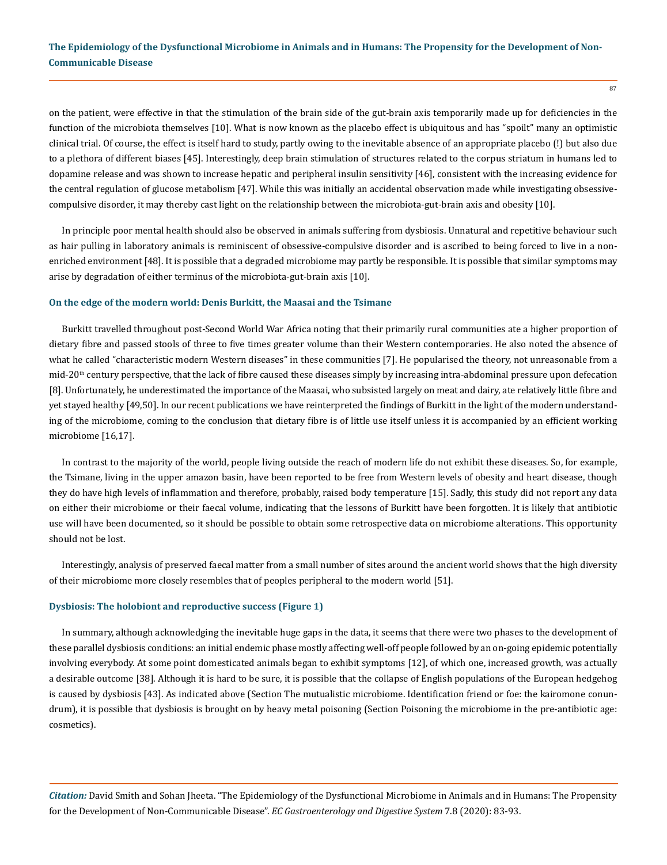on the patient, were effective in that the stimulation of the brain side of the gut-brain axis temporarily made up for deficiencies in the function of the microbiota themselves [10]. What is now known as the placebo effect is ubiquitous and has "spoilt" many an optimistic clinical trial. Of course, the effect is itself hard to study, partly owing to the inevitable absence of an appropriate placebo (!) but also due to a plethora of different biases [45]. Interestingly, deep brain stimulation of structures related to the corpus striatum in humans led to dopamine release and was shown to increase hepatic and peripheral insulin sensitivity [46], consistent with the increasing evidence for the central regulation of glucose metabolism [47]. While this was initially an accidental observation made while investigating obsessivecompulsive disorder, it may thereby cast light on the relationship between the microbiota-gut-brain axis and obesity [10].

In principle poor mental health should also be observed in animals suffering from dysbiosis. Unnatural and repetitive behaviour such as hair pulling in laboratory animals is reminiscent of obsessive-compulsive disorder and is ascribed to being forced to live in a nonenriched environment [48]. It is possible that a degraded microbiome may partly be responsible. It is possible that similar symptoms may arise by degradation of either terminus of the microbiota-gut-brain axis [10].

#### **On the edge of the modern world: Denis Burkitt, the Maasai and the Tsimane**

Burkitt travelled throughout post-Second World War Africa noting that their primarily rural communities ate a higher proportion of dietary fibre and passed stools of three to five times greater volume than their Western contemporaries. He also noted the absence of what he called "characteristic modern Western diseases" in these communities [7]. He popularised the theory, not unreasonable from a  $mid-20<sup>th</sup>$  century perspective, that the lack of fibre caused these diseases simply by increasing intra-abdominal pressure upon defecation [8]. Unfortunately, he underestimated the importance of the Maasai, who subsisted largely on meat and dairy, ate relatively little fibre and yet stayed healthy [49,50]. In our recent publications we have reinterpreted the findings of Burkitt in the light of the modern understanding of the microbiome, coming to the conclusion that dietary fibre is of little use itself unless it is accompanied by an efficient working microbiome [16,17].

In contrast to the majority of the world, people living outside the reach of modern life do not exhibit these diseases. So, for example, the Tsimane, living in the upper amazon basin, have been reported to be free from Western levels of obesity and heart disease, though they do have high levels of inflammation and therefore, probably, raised body temperature [15]. Sadly, this study did not report any data on either their microbiome or their faecal volume, indicating that the lessons of Burkitt have been forgotten. It is likely that antibiotic use will have been documented, so it should be possible to obtain some retrospective data on microbiome alterations. This opportunity should not be lost.

Interestingly, analysis of preserved faecal matter from a small number of sites around the ancient world shows that the high diversity of their microbiome more closely resembles that of peoples peripheral to the modern world [51].

#### **Dysbiosis: The holobiont and reproductive success (Figure 1)**

In summary, although acknowledging the inevitable huge gaps in the data, it seems that there were two phases to the development of these parallel dysbiosis conditions: an initial endemic phase mostly affecting well-off people followed by an on-going epidemic potentially involving everybody. At some point domesticated animals began to exhibit symptoms [12], of which one, increased growth, was actually a desirable outcome [38]. Although it is hard to be sure, it is possible that the collapse of English populations of the European hedgehog is caused by dysbiosis [43]. As indicated above (Section The mutualistic microbiome. Identification friend or foe: the kairomone conundrum), it is possible that dysbiosis is brought on by heavy metal poisoning (Section Poisoning the microbiome in the pre-antibiotic age: cosmetics).

*Citation:* David Smith and Sohan Jheeta. "The Epidemiology of the Dysfunctional Microbiome in Animals and in Humans: The Propensity for the Development of Non-Communicable Disease". *EC Gastroenterology and Digestive System* 7.8 (2020): 83-93.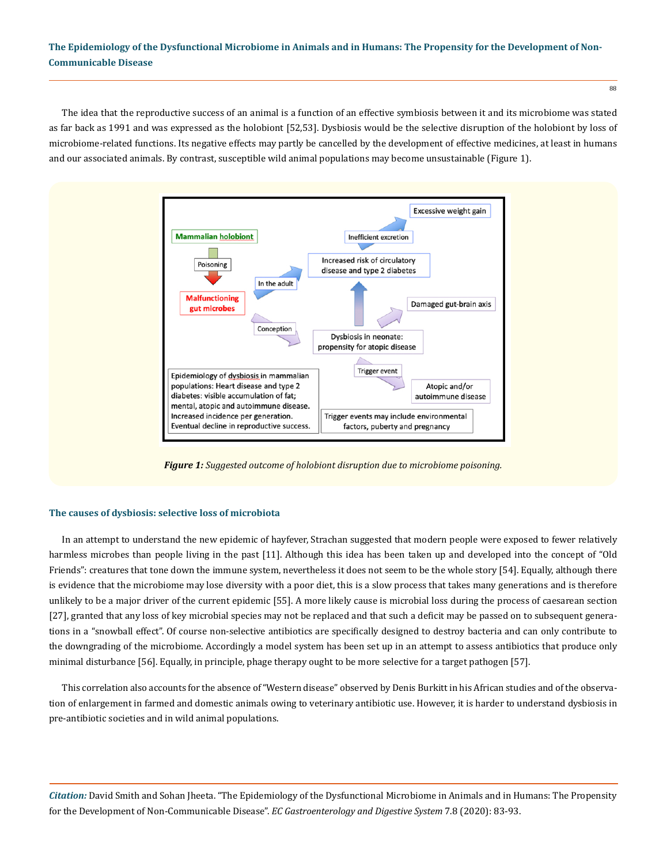The idea that the reproductive success of an animal is a function of an effective symbiosis between it and its microbiome was stated as far back as 1991 and was expressed as the holobiont [52,53]. Dysbiosis would be the selective disruption of the holobiont by loss of microbiome-related functions. Its negative effects may partly be cancelled by the development of effective medicines, at least in humans and our associated animals. By contrast, susceptible wild animal populations may become unsustainable (Figure 1).



*Figure 1: Suggested outcome of holobiont disruption due to microbiome poisoning.*

#### **The causes of dysbiosis: selective loss of microbiota**

In an attempt to understand the new epidemic of hayfever, Strachan suggested that modern people were exposed to fewer relatively harmless microbes than people living in the past [11]. Although this idea has been taken up and developed into the concept of "Old Friends": creatures that tone down the immune system, nevertheless it does not seem to be the whole story [54]. Equally, although there is evidence that the microbiome may lose diversity with a poor diet, this is a slow process that takes many generations and is therefore unlikely to be a major driver of the current epidemic [55]. A more likely cause is microbial loss during the process of caesarean section [27], granted that any loss of key microbial species may not be replaced and that such a deficit may be passed on to subsequent generations in a "snowball effect". Of course non-selective antibiotics are specifically designed to destroy bacteria and can only contribute to the downgrading of the microbiome. Accordingly a model system has been set up in an attempt to assess antibiotics that produce only minimal disturbance [56]. Equally, in principle, phage therapy ought to be more selective for a target pathogen [57].

This correlation also accounts for the absence of "Western disease" observed by Denis Burkitt in his African studies and of the observation of enlargement in farmed and domestic animals owing to veterinary antibiotic use. However, it is harder to understand dysbiosis in pre-antibiotic societies and in wild animal populations.

*Citation:* David Smith and Sohan Jheeta. "The Epidemiology of the Dysfunctional Microbiome in Animals and in Humans: The Propensity for the Development of Non-Communicable Disease". *EC Gastroenterology and Digestive System* 7.8 (2020): 83-93.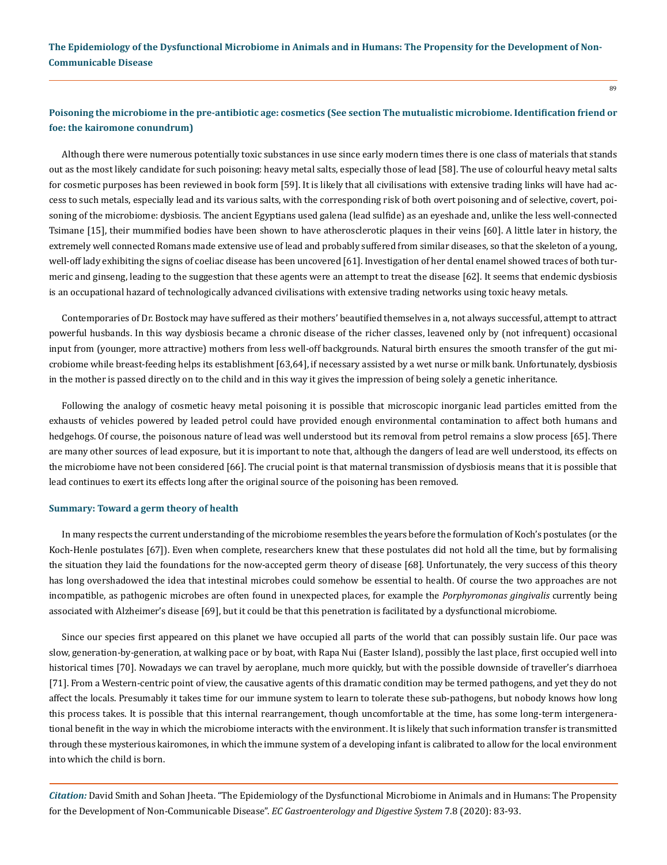### **Poisoning the microbiome in the pre-antibiotic age: cosmetics (See section The mutualistic microbiome. Identification friend or foe: the kairomone conundrum)**

Although there were numerous potentially toxic substances in use since early modern times there is one class of materials that stands out as the most likely candidate for such poisoning: heavy metal salts, especially those of lead [58]. The use of colourful heavy metal salts for cosmetic purposes has been reviewed in book form [59]. It is likely that all civilisations with extensive trading links will have had access to such metals, especially lead and its various salts, with the corresponding risk of both overt poisoning and of selective, covert, poisoning of the microbiome: dysbiosis. The ancient Egyptians used galena (lead sulfide) as an eyeshade and, unlike the less well-connected Tsimane [15], their mummified bodies have been shown to have atherosclerotic plaques in their veins [60]. A little later in history, the extremely well connected Romans made extensive use of lead and probably suffered from similar diseases, so that the skeleton of a young, well-off lady exhibiting the signs of coeliac disease has been uncovered [61]. Investigation of her dental enamel showed traces of both turmeric and ginseng, leading to the suggestion that these agents were an attempt to treat the disease [62]. It seems that endemic dysbiosis is an occupational hazard of technologically advanced civilisations with extensive trading networks using toxic heavy metals.

Contemporaries of Dr. Bostock may have suffered as their mothers' beautified themselves in a, not always successful, attempt to attract powerful husbands. In this way dysbiosis became a chronic disease of the richer classes, leavened only by (not infrequent) occasional input from (younger, more attractive) mothers from less well-off backgrounds. Natural birth ensures the smooth transfer of the gut microbiome while breast-feeding helps its establishment [63,64], if necessary assisted by a wet nurse or milk bank. Unfortunately, dysbiosis in the mother is passed directly on to the child and in this way it gives the impression of being solely a genetic inheritance.

Following the analogy of cosmetic heavy metal poisoning it is possible that microscopic inorganic lead particles emitted from the exhausts of vehicles powered by leaded petrol could have provided enough environmental contamination to affect both humans and hedgehogs. Of course, the poisonous nature of lead was well understood but its removal from petrol remains a slow process [65]. There are many other sources of lead exposure, but it is important to note that, although the dangers of lead are well understood, its effects on the microbiome have not been considered [66]. The crucial point is that maternal transmission of dysbiosis means that it is possible that lead continues to exert its effects long after the original source of the poisoning has been removed.

#### **Summary: Toward a germ theory of health**

In many respects the current understanding of the microbiome resembles the years before the formulation of Koch's postulates (or the Koch-Henle postulates [67]). Even when complete, researchers knew that these postulates did not hold all the time, but by formalising the situation they laid the foundations for the now-accepted germ theory of disease [68]. Unfortunately, the very success of this theory has long overshadowed the idea that intestinal microbes could somehow be essential to health. Of course the two approaches are not incompatible, as pathogenic microbes are often found in unexpected places, for example the *Porphyromonas gingivalis* currently being associated with Alzheimer's disease [69], but it could be that this penetration is facilitated by a dysfunctional microbiome.

Since our species first appeared on this planet we have occupied all parts of the world that can possibly sustain life. Our pace was slow, generation-by-generation, at walking pace or by boat, with Rapa Nui (Easter Island), possibly the last place, first occupied well into historical times [70]. Nowadays we can travel by aeroplane, much more quickly, but with the possible downside of traveller's diarrhoea [71]. From a Western-centric point of view, the causative agents of this dramatic condition may be termed pathogens, and yet they do not affect the locals. Presumably it takes time for our immune system to learn to tolerate these sub-pathogens, but nobody knows how long this process takes. It is possible that this internal rearrangement, though uncomfortable at the time, has some long-term intergenerational benefit in the way in which the microbiome interacts with the environment. It is likely that such information transfer is transmitted through these mysterious kairomones, in which the immune system of a developing infant is calibrated to allow for the local environment into which the child is born.

*Citation:* David Smith and Sohan Jheeta. "The Epidemiology of the Dysfunctional Microbiome in Animals and in Humans: The Propensity for the Development of Non-Communicable Disease". *EC Gastroenterology and Digestive System* 7.8 (2020): 83-93.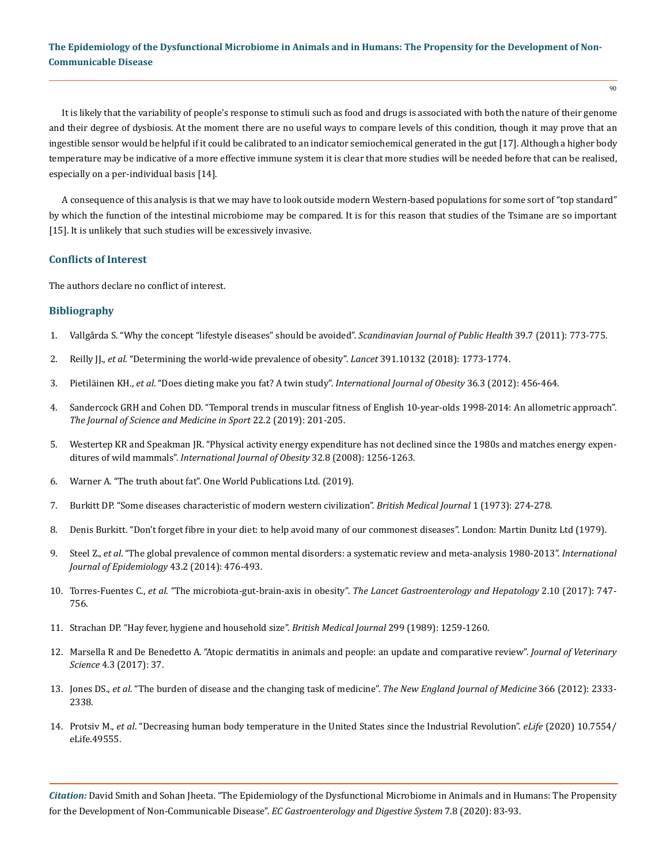It is likely that the variability of people's response to stimuli such as food and drugs is associated with both the nature of their genome and their degree of dysbiosis. At the moment there are no useful ways to compare levels of this condition, though it may prove that an ingestible sensor would be helpful if it could be calibrated to an indicator semiochemical generated in the gut [17]. Although a higher body temperature may be indicative of a more effective immune system it is clear that more studies will be needed before that can be realised, especially on a per-individual basis [14].

A consequence of this analysis is that we may have to look outside modern Western-based populations for some sort of "top standard" by which the function of the intestinal microbiome may be compared. It is for this reason that studies of the Tsimane are so important [15]. It is unlikely that such studies will be excessively invasive.

### **Conflicts of Interest**

The authors declare no conflict of interest.

### **Bibliography**

- 1. [Vallgårda S. "Why the concept "lifestyle diseases" should be avoided".](https://pubmed.ncbi.nlm.nih.gov/21948978/) *Scandinavian Journal of Public Health* 39.7 (2011): 773-775.
- 2. Reilly JJ., *et al*[. "Determining the world-wide prevalence of obesity".](https://pubmed.ncbi.nlm.nih.gov/29739565/) *Lancet* 391.10132 (2018): 1773-1774.
- 3. Pietiläinen KH., *et al*[. "Does dieting make you fat? A twin study".](https://pubmed.ncbi.nlm.nih.gov/21829159/) *International Journal of Obesity* 36.3 (2012): 456-464.
- 4. [Sandercock GRH and Cohen DD. "Temporal trends in muscular fitness of English 10-year-olds 1998-2014: An allometric approach".](https://pubmed.ncbi.nlm.nih.gov/30098974/) *[The Journal of Science and Medicine in Sport](https://pubmed.ncbi.nlm.nih.gov/30098974/)* 22.2 (2019): 201-205.
- 5. [Westertep KR and Speakman JR. "Physical activity energy expenditure has not declined since the 1980s and matches energy expen](https://www.nature.com/articles/ijo200874)ditures of wild mammals". *[International Journal of Obesity](https://www.nature.com/articles/ijo200874)* 32.8 (2008): 1256-1263.
- 6. Warner A. "The truth about fat". One World Publications Ltd. (2019).
- 7. [Burkitt DP. "Some diseases characteristic of modern western civilization".](https://www.ncbi.nlm.nih.gov/pmc/articles/PMC1588096/) *British Medical Journal* 1 (1973): 274-278.
- 8. Denis Burkitt. "Don't forget fibre in your diet: to help avoid many of our commonest diseases". London: Martin Dunitz Ltd (1979).
- 9. Steel Z., *et al*[. "The global prevalence of common mental disorders: a systematic review and meta-analysis 1980-2013".](https://pubmed.ncbi.nlm.nih.gov/24648481/) *International [Journal of Epidemiology](https://pubmed.ncbi.nlm.nih.gov/24648481/)* 43.2 (2014): 476-493.
- 10. Torres-Fuentes C., *et al*. "The microbiota-gut-brain-axis in obesity". *[The Lancet Gastroenterology and Hepatology](https://pubmed.ncbi.nlm.nih.gov/28844808/)* 2.10 (2017): 747- [756.](https://pubmed.ncbi.nlm.nih.gov/28844808/)
- 11. [Strachan DP. "Hay fever, hygiene and household size".](https://www.ncbi.nlm.nih.gov/pmc/articles/PMC1838109/) *British Medical Journal* 299 (1989): 1259-1260.
- 12. [Marsella R and De Benedetto A. "Atopic dermatitis in animals and people: an update and comparative review".](https://www.ncbi.nlm.nih.gov/pmc/articles/PMC5644664/) *Journal of Veterinary Science* [4.3 \(2017\): 37.](https://www.ncbi.nlm.nih.gov/pmc/articles/PMC5644664/)
- 13. Jones DS., *et al*[. "The burden of disease and the changing task of medicine".](https://www.nejm.org/doi/full/10.1056/NEJMp1113569) *The New England Journal of Medicine* 366 (2012): 2333- [2338.](https://www.nejm.org/doi/full/10.1056/NEJMp1113569)
- 14. Protsiv M., *et al*[. "Decreasing human body temperature in the United States since the Industrial Revolution".](https://elifesciences.org/articles/49555) *eLife* (2020) 10.7554/ [eLife.49555.](https://elifesciences.org/articles/49555)

*Citation:* David Smith and Sohan Jheeta. "The Epidemiology of the Dysfunctional Microbiome in Animals and in Humans: The Propensity for the Development of Non-Communicable Disease". *EC Gastroenterology and Digestive System* 7.8 (2020): 83-93.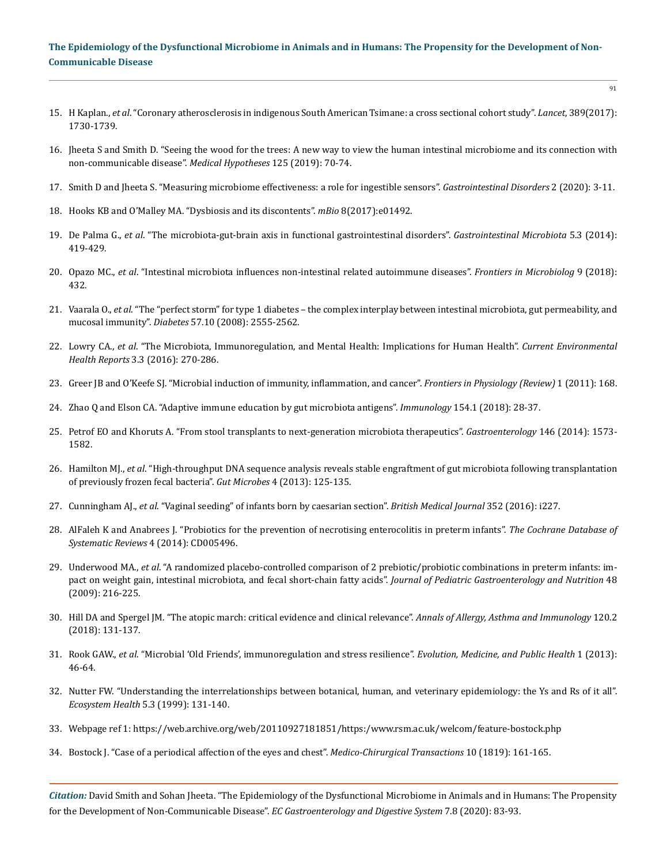- 15. H Kaplan., *et al*[. "Coronary atherosclerosis in indigenous South American Tsimane: a cross sectional cohort study".](https://pubmed.ncbi.nlm.nih.gov/28320601/) *Lancet*, 389(2017): [1730-1739.](https://pubmed.ncbi.nlm.nih.gov/28320601/)
- 16. [Jheeta S and Smith D. "Seeing the wood for the trees: A new way to view the human intestinal microbiome and its connection with](https://www.sciencedirect.com/science/article/abs/pii/S0306987718312283)  [non-communicable disease".](https://www.sciencedirect.com/science/article/abs/pii/S0306987718312283) *Medical Hypotheses* 125 (2019): 70-74.
- 17. Smith D and Jheeta S. "Measuring microbiome effectiveness: a role for ingestible sensors". *Gastrointestinal Disorders* 2 (2020): 3-11.
- 18. [Hooks KB and O'Malley MA. "Dysbiosis and its discontents".](https://mbio.asm.org/content/8/5/e01492-17) *mBio* 8(2017):e01492.
- 19. De Palma G., *et al*. "The microbiota-gut-brain axis in functional gastrointestinal disorders". *Gastrointestinal Microbiota* 5.3 (2014): 419-429.
- 20. Opazo MC., *et al*[. "Intestinal microbiota influences non-intestinal related autoimmune diseases".](https://pubmed.ncbi.nlm.nih.gov/29593681/) *Frontiers in Microbiolog* 9 (2018): [432.](https://pubmed.ncbi.nlm.nih.gov/29593681/)
- 21. Vaarala O., *et al*[. "The "perfect storm" for type 1 diabetes the complex interplay between intestinal microbiota, gut permeability, and](https://pubmed.ncbi.nlm.nih.gov/18820210/)  mucosal immunity". *Diabetes* [57.10 \(2008\): 2555-2562.](https://pubmed.ncbi.nlm.nih.gov/18820210/)
- 22. Lowry CA., *et al*[. "The Microbiota, Immunoregulation, and Mental Health: Implications for Human Health".](https://www.ncbi.nlm.nih.gov/pmc/articles/PMC5763918/) *Current Environmental Health Reports* [3.3 \(2016\): 270-286.](https://www.ncbi.nlm.nih.gov/pmc/articles/PMC5763918/)
- 23. [Greer JB and O'Keefe SJ. "Microbial induction of immunity, inflammation, and cancer".](https://pubmed.ncbi.nlm.nih.gov/21423403/) *Frontiers in Physiology (Review)* 1 (2011): 168.
- 24. [Zhao Q and Elson CA. "Adaptive immune education by gut microbiota antigens".](https://pubmed.ncbi.nlm.nih.gov/29338074/) *Immunology* 154.1 (2018): 28-37.
- 25. [Petrof EO and Khoruts A. "From stool transplants to next-generation microbiota therapeutics".](https://pubmed.ncbi.nlm.nih.gov/24412527/) *Gastroenterology* 146 (2014): 1573- [1582.](https://pubmed.ncbi.nlm.nih.gov/24412527/)
- 26. Hamilton MJ., *et al*[. "High-throughput DNA sequence analysis reveals stable engraftment of gut microbiota following transplantation](https://pubmed.ncbi.nlm.nih.gov/23333862/)  [of previously frozen fecal bacteria".](https://pubmed.ncbi.nlm.nih.gov/23333862/) *Gut Microbes* 4 (2013): 125-135.
- 27. Cunningham AJ., *et al*[. "Vaginal seeding" of infants born by caesarian section".](https://www.bmj.com/content/352/bmj.i227) *British Medical Journal* 352 (2016): i227.
- 28. AlFaleh K and Anabrees J. "Probiotics for the prevention of necrotising enterocolitis in preterm infants". *The Cochrane Database of Systematic Reviews* 4 (2014): CD005496.
- 29. Underwood MA., *et al*[. "A randomized placebo-controlled comparison of 2 prebiotic/probiotic combinations in preterm infants: im](https://pubmed.ncbi.nlm.nih.gov/19179885/)[pact on weight gain, intestinal microbiota, and fecal short-chain fatty acids".](https://pubmed.ncbi.nlm.nih.gov/19179885/) *Journal of Pediatric Gastroenterology and Nutrition* 48 [\(2009\): 216-225.](https://pubmed.ncbi.nlm.nih.gov/19179885/)
- 30. [Hill DA and Spergel JM. "The atopic march: critical evidence and clinical relevance".](https://www.ncbi.nlm.nih.gov/pmc/articles/PMC5806141/) *Annals of Allergy, Asthma and Immunology* 120.2 [\(2018\): 131-137.](https://www.ncbi.nlm.nih.gov/pmc/articles/PMC5806141/)
- 31. Rook GAW., *et al*[. "Microbial 'Old Friends', immunoregulation and stress resilience".](https://pubmed.ncbi.nlm.nih.gov/24481186/) *Evolution, Medicine, and Public Health* 1 (2013): [46-64.](https://pubmed.ncbi.nlm.nih.gov/24481186/)
- 32. [Nutter FW. "Understanding the interrelationships between botanical, human, and veterinary epidemiology: the Ys and Rs of it all".](https://onlinelibrary.wiley.com/doi/abs/10.1046/j.1526-0992.1999.09922.x)  *Ecosystem Health* [5.3 \(1999\): 131-140.](https://onlinelibrary.wiley.com/doi/abs/10.1046/j.1526-0992.1999.09922.x)
- 33. [Webpage ref 1: https://web.archive.org/web/20110927181851/https:/www.rsm.ac.uk/welcom/feature-bostock.php](https://web.archive.org/web/20110927181851/https:/www.rsm.ac.uk/welcom/feature-bostock.php)
- 34. [Bostock J. "Case of a periodical affection of the eyes and chest".](https://www.ncbi.nlm.nih.gov/pmc/articles/PMC2116437/) *Medico-Chirurgical Transactions* 10 (1819): 161-165.

*Citation:* David Smith and Sohan Jheeta. "The Epidemiology of the Dysfunctional Microbiome in Animals and in Humans: The Propensity for the Development of Non-Communicable Disease". *EC Gastroenterology and Digestive System* 7.8 (2020): 83-93.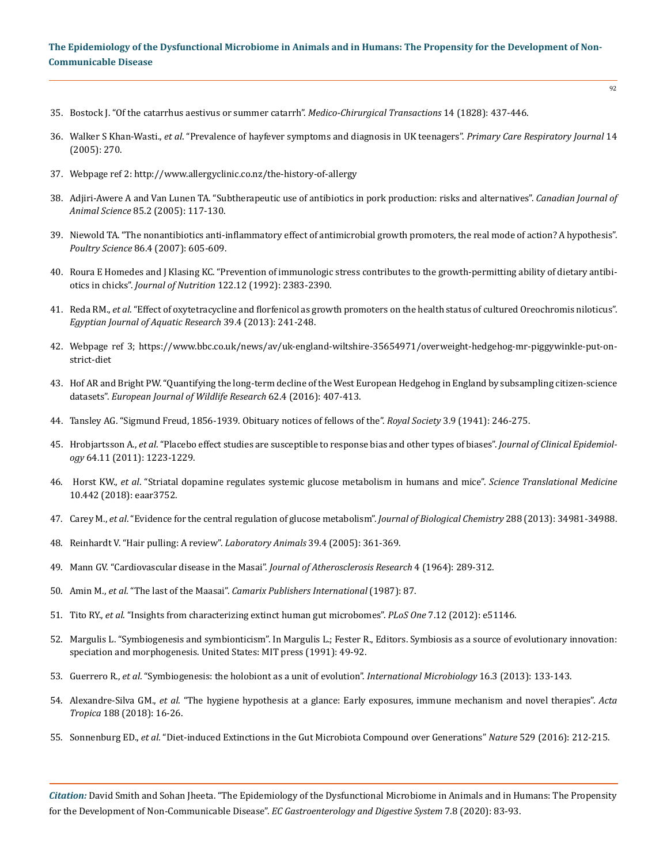- 35. [Bostock J. "Of the catarrhus aestivus or summer catarrh".](https://www.ncbi.nlm.nih.gov/pmc/articles/PMC2116490/) *Medico-Chirurgical Transactions* 14 (1828): 437-446.
- 36. Walker S Khan-Wasti., *et al*[. "Prevalence of hayfever symptoms and diagnosis in UK teenagers".](https://www.ncbi.nlm.nih.gov/pmc/articles/PMC6743589/pdf/pcrj2005067.pdf) *Primary Care Respiratory Journal* 14 [\(2005\): 270.](https://www.ncbi.nlm.nih.gov/pmc/articles/PMC6743589/pdf/pcrj2005067.pdf)
- 37. Webpage ref 2:<http://www.allergyclinic.co.nz/the-history-of-allergy>
- 38. Adjiri-Awere A and Van Lunen TA. "Subtherapeutic use of antibiotics in pork production: risks and alternatives". *Canadian Journal of Animal Science* 85.2 (2005): 117-130.
- 39. [Niewold TA. "The nonantibiotics anti-inflammatory effect of antimicrobial growth promoters, the real mode of action? A hypothesis".](https://www.sciencedirect.com/science/article/pii/S0032579119441369)  *Poultry Science* [86.4 \(2007\): 605-609.](https://www.sciencedirect.com/science/article/pii/S0032579119441369)
- 40. [Roura E Homedes and J Klasing KC. "Prevention of immunologic stress contributes to the growth-permitting ability of dietary antibi](https://pubmed.ncbi.nlm.nih.gov/1453223/)otics in chicks". *Journal of Nutrition* [122.12 \(1992\): 2383-2390.](https://pubmed.ncbi.nlm.nih.gov/1453223/)
- 41. Reda RM., *et al*[. "Effect of oxytetracycline and florfenicol as growth promoters on the health status of cultured Oreochromis niloticus".](https://www.sciencedirect.com/science/article/pii/S1687428513001167)  *[Egyptian Journal of Aquatic Research](https://www.sciencedirect.com/science/article/pii/S1687428513001167)* 39.4 (2013): 241-248.
- 42. Webpage ref 3; [https://www.bbc.co.uk/news/av/uk-england-wiltshire-35654971/overweight-hedgehog-mr-piggywinkle-put-on](https://www.bbc.co.uk/news/av/uk-england-wiltshire-35654971/overweight-hedgehog-mr-piggywinkle-put-on-strict-diet)[strict-diet](https://www.bbc.co.uk/news/av/uk-england-wiltshire-35654971/overweight-hedgehog-mr-piggywinkle-put-on-strict-diet)
- 43. [Hof AR and Bright PW. "Quantifying the long-term decline of the West European Hedgehog in England by subsampling citizen-science](https://link.springer.com/article/10.1007/s10344-016-1013-1)  datasets". *[European Journal of Wildlife Research](https://link.springer.com/article/10.1007/s10344-016-1013-1)* 62.4 (2016): 407-413.
- 44. [Tansley AG. "Sigmund Freud, 1856-1939. Obituary notices of fellows of the".](https://royalsocietypublishing.org/doi/10.1098/rsbm.1941.0002) *Royal Society* 3.9 (1941): 246-275.
- 45. Hrobjartsson A., *et al*[. "Placebo effect studies are susceptible to response bias and other types of biases".](https://www.ncbi.nlm.nih.gov/pmc/articles/PMC3146959/) *Journal of Clinical Epidemiology* [64.11 \(2011\): 1223-1229.](https://www.ncbi.nlm.nih.gov/pmc/articles/PMC3146959/)
- 46. Horst KW., *et al*[. "Striatal dopamine regulates systemic glucose metabolism in humans and mice".](https://pubmed.ncbi.nlm.nih.gov/29794060/) *Science Translational Medicine*  [10.442 \(2018\): eaar3752.](https://pubmed.ncbi.nlm.nih.gov/29794060/)
- 47. Carey M., *et al*[. "Evidence for the central regulation of glucose metabolism".](https://www.ncbi.nlm.nih.gov/pmc/articles/PMC3853251/) *Journal of Biological Chemistry* 288 (2013): 34981-34988.
- 48. [Reinhardt V. "Hair pulling: A review".](https://pubmed.ncbi.nlm.nih.gov/16197702/) *Laboratory Animals* 39.4 (2005): 361-369.
- 49. [Mann GV. "Cardiovascular disease in the Masai".](https://www.sciencedirect.com/science/article/abs/pii/S0368131964800417) *Journal of Atherosclerosis Research* 4 (1964): 289-312.
- 50. Amin M., *et al*. "The last of the Maasai". *Camarix Publishers International* (1987): 87.
- 51. Tito RY., *et al*[. "Insights from characterizing extinct human gut microbomes".](https://pubmed.ncbi.nlm.nih.gov/23251439/) *PLoS One* 7.12 (2012): e51146.
- 52. Margulis L. "Symbiogenesis and symbionticism". In Margulis L.; Fester R., Editors. Symbiosis as a source of evolutionary innovation: speciation and morphogenesis. United States: MIT press (1991): 49-92.
- 53. Guerrero R., *et al*[. "Symbiogenesis: the holobiont as a unit of evolution".](https://www.semanticscholar.org/paper/Symbiogenesis%3A-the-holobiont-as-a-unit-of-Guerrero-Margulis/ca2da45168757a73cbd8256c9fba0dbb938abe8c) *International Microbiology* 16.3 (2013): 133-143.
- 54. Alexandre-Silva GM., *et al*[. "The hygiene hypothesis at a glance: Early exposures, immune mechanism and novel therapies".](https://www.sciencedirect.com/science/article/abs/pii/S0001706X18306880) *Acta Tropica* [188 \(2018\): 16-26.](https://www.sciencedirect.com/science/article/abs/pii/S0001706X18306880)
- 55. Sonnenburg ED., *et al*[. "Diet-induced Extinctions in the Gut Microbiota Compound over Generations"](https://www.nature.com/articles/nature16504) *Nature* 529 (2016): 212-215.

*Citation:* David Smith and Sohan Jheeta. "The Epidemiology of the Dysfunctional Microbiome in Animals and in Humans: The Propensity for the Development of Non-Communicable Disease". *EC Gastroenterology and Digestive System* 7.8 (2020): 83-93.